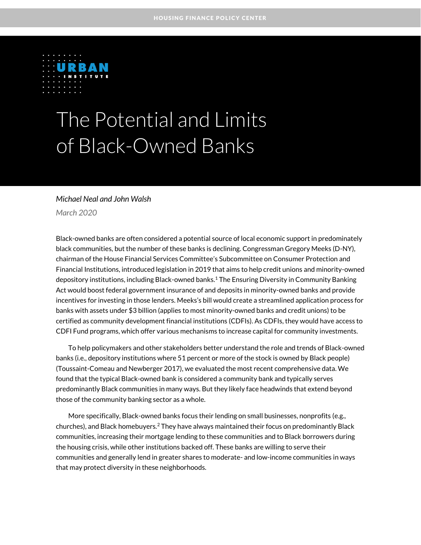

# The Potential and Limits of Black-Owned Banks

### *Michael Neal and John Walsh*

*March 2020*

Black-owned banks are often considered a potential source of local economic support in predominately black communities, but the number of these banks is declining. Congressman Gregory Meeks (D-NY), chairman of the House Financial Services Committee's Subcommittee on Consumer Protection and Financial Institutions, introduced legislation in 2019 that aims to help credit unions and minority-owned depository institutions, including Black-owned banks. $^1$  The Ensuring Diversity in Community Banking Act would boost federal government insurance of and deposits in minority-owned banks and provide incentives for investing in those lenders. Meeks's bill would create a streamlined application process for banks with assets under \$3 billion (applies to most minority-owned banks and credit unions) to be certified as community development financial institutions (CDFIs). As CDFIs, they would have access to CDFI Fund programs, which offer various mechanisms to increase capital for community investments.

To help policymakers and other stakeholders better understand the role and trends of Black-owned banks (i.e., depository institutions where 51 percent or more of the stock is owned by Black people) (Toussaint-Comeau and Newberger 2017), we evaluated the most recent comprehensive data. We found that the typical Black-owned bank is considered a community bank and typically serves predominantly Black communities in many ways. But they likely face headwinds that extend beyond those of the community banking sector as a whole.

More specifically, Black-owned banks focus their lending on small businesses, nonprofits (e.g., churches), and Black homebuyers.<sup>2</sup> They have always maintained their focus on predominantly Black communities, increasing their mortgage lending to these communities and to Black borrowers during the housing crisis, while other institutions backed off. These banks are willing to serve their communities and generally lend in greater shares to moderate- and low-income communities in ways that may protect diversity in these neighborhoods.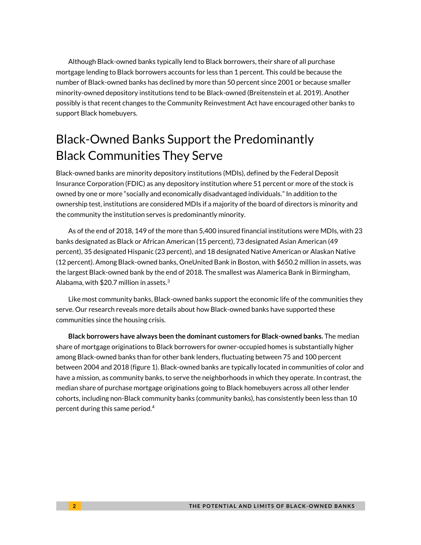Although Black-owned banks typically lend to Black borrowers, their share of all purchase mortgage lending to Black borrowers accounts for less than 1 percent. This could be because the number of Black-owned banks has declined by more than 50 percent since 2001 or because smaller minority-owned depository institutions tend to be Black-owned (Breitenstein et al. 2019). Another possibly is that recent changes to the Community Reinvestment Act have encouraged other banks to support Black homebuyers.

# Black-Owned Banks Support the Predominantly Black Communities They Serve

Black-owned banks are minority depository institutions (MDIs), defined by the Federal Deposit Insurance Corporation (FDIC) as any depository institution where 51 percent or more of the stock is owned by one or more "socially and economically disadvantaged individuals." In addition to the ownership test, institutions are considered MDIs if a majority of the board of directors is minority and the community the institution serves is predominantly minority.

As of the end of 2018, 149 of the more than 5,400 insured financial institutions were MDIs, with 23 banks designated as Black or African American (15 percent), 73 designated Asian American (49 percent), 35 designated Hispanic (23 percent), and 18 designated Native American or Alaskan Native (12 percent). Among Black-owned banks, OneUnited Bank in Boston, with \$650.2 million in assets, was the largest Black-owned bank by the end of 2018. The smallest was Alamerica Bank in Birmingham, Alabama, with \$20.7 million in assets. $^3$ 

Like most community banks, Black-owned banks support the economic life of the communities they serve. Our research reveals more details about how Black-owned banks have supported these communities since the housing crisis.

**Black borrowers have always been the dominant customers for Black-owned banks.** The median share of mortgage originations to Black borrowers for owner-occupied homes is substantially higher among Black-owned banks than for other bank lenders, fluctuating between 75 and 100 percent between 2004 and 2018 (figure 1). Black-owned banks are typically located in communities of color and have a mission, as community banks, to serve the neighborhoods in which they operate. In contrast, the median share of purchase mortgage originations going to Black homebuyers across all other lender cohorts, including non-Black community banks (community banks), has consistently been less than 10 percent during this same period. 4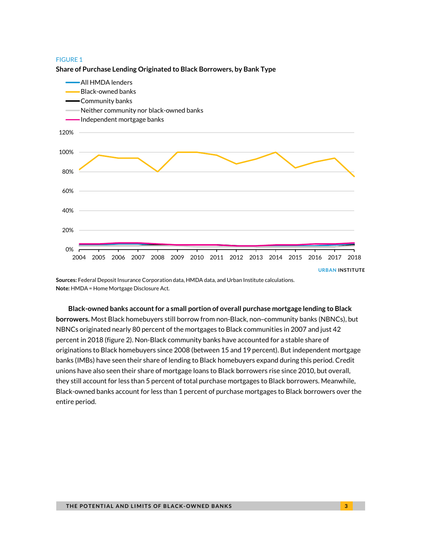#### **Share of Purchase Lending Originated to Black Borrowers, by Bank Type**



**Sources:** Federal Deposit Insurance Corporation data, HMDA data, and Urban Institute calculations. **Note:** HMDA = Home Mortgage Disclosure Act.

**Black-owned banks account for a small portion of overall purchase mortgage lending to Black borrowers.** Most Black homebuyers still borrow from non-Black, non–community banks (NBNCs), but NBNCs originated nearly 80 percent of the mortgages to Black communities in 2007 and just 42 percent in 2018 (figure 2). Non-Black community banks have accounted for a stable share of originations to Black homebuyers since 2008 (between 15 and 19 percent). But independent mortgage banks (IMBs) have seen their share of lending to Black homebuyers expand during this period. Credit unions have also seen their share of mortgage loans to Black borrowers rise since 2010, but overall, they still account for less than 5 percent of total purchase mortgages to Black borrowers. Meanwhile, Black-owned banks account for less than 1 percent of purchase mortgages to Black borrowers over the entire period.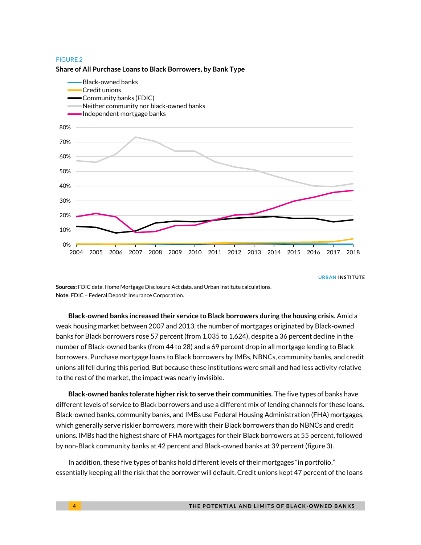#### **Share of All Purchase Loans to Black Borrowers, by Bank Type**



**URBAN INSTITUTE**

**Sources:** FDIC data, Home Mortgage Disclosure Act data, and Urban Institute calculations. **Note:** FDIC = Federal Deposit Insurance Corporation.

**Black-owned banks increased their service to Black borrowers during the housing crisis.** Amid a weak housing market between 2007 and 2013, the number of mortgages originated by Black-owned banks for Black borrowers rose 57 percent (from 1,035 to 1,624), despite a 36 percent decline in the number of Black-owned banks (from 44 to 28) and a 69 percent drop in all mortgage lending to Black borrowers. Purchase mortgage loans to Black borrowers by IMBs, NBNCs, community banks, and credit unions all fell during this period. But because these institutions were small and had less activity relative to the rest of the market, the impact was nearly invisible.

**Black-owned banks tolerate higher risk to serve their communities.** The five types of banks have different levels of service to Black borrowers and use a different mix of lending channels for these loans. Black-owned banks, community banks, and IMBs use Federal Housing Administration (FHA) mortgages, which generally serve riskier borrowers, more with their Black borrowers than do NBNCs and credit unions. IMBs had the highest share of FHA mortgages for their Black borrowers at 55 percent, followed by non-Black community banks at 42 percent and Black-owned banks at 39 percent (figure 3).

In addition, these five types of banks hold different levels of their mortgages "in portfolio," essentially keeping all the risk that the borrower will default. Credit unions kept 47 percent of the loans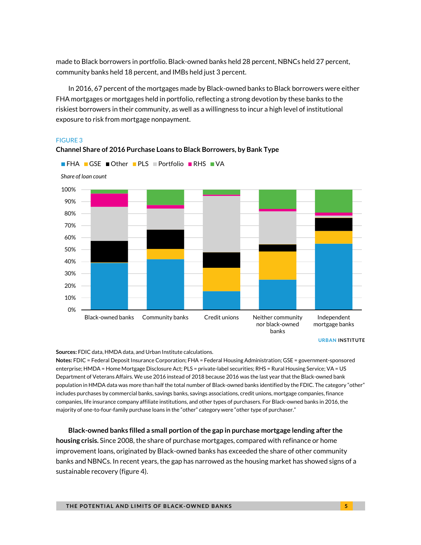made to Black borrowers in portfolio. Black-owned banks held 28 percent, NBNCs held 27 percent, community banks held 18 percent, and IMBs held just 3 percent.

In 2016, 67 percent of the mortgages made by Black-owned banks to Black borrowers were either FHA mortgages or mortgages held in portfolio, reflecting a strong devotion by these banks to the riskiest borrowers in their community, as well as a willingness to incur a high level of institutional exposure to risk from mortgage nonpayment.

### FIGURE 3



### **Channel Share of 2016 Purchase Loans to Black Borrowers, by Bank Type**

**■ FHA ■ GSE ■ Other ■ PLS ■ Portfolio ■ RHS ■ VA** 

**Sources:** FDIC data, HMDA data, and Urban Institute calculations.

**Notes:** FDIC = Federal Deposit Insurance Corporation; FHA = Federal Housing Administration; GSE = government-sponsored enterprise; HMDA = Home Mortgage Disclosure Act; PLS = private-label securities; RHS = Rural Housing Service; VA = US Department of Veterans Affairs. We use 2016 instead of 2018 because 2016 was the last year that the Black-owned bank population in HMDA data was more than half the total number of Black-owned banks identified by the FDIC. The category "other" includes purchases by commercial banks, savings banks, savings associations, credit unions, mortgage companies, finance companies, life insurance company affiliate institutions, and other types of purchasers. For Black-owned banks in 2016, the majority of one-to-four-family purchase loans in the "other" category were "other type of purchaser."

**Black-owned banks filled a small portion of the gap in purchase mortgage lending after the housing crisis.** Since 2008, the share of purchase mortgages, compared with refinance or home improvement loans, originated by Black-owned banks has exceeded the share of other community banks and NBNCs. In recent years, the gap has narrowed as the housing market has showed signs of a sustainable recovery (figure 4).

**URBAN INSTITUTE**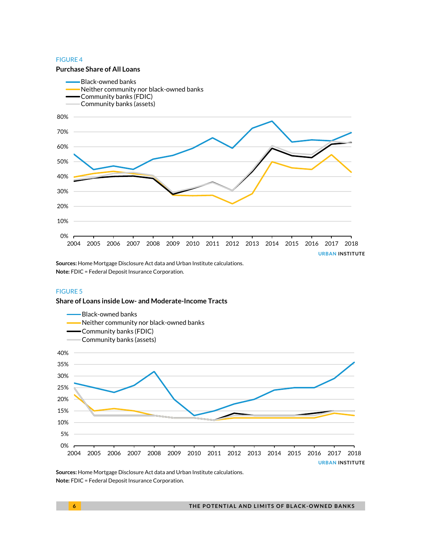#### **Purchase Share of All Loans**



**Sources:** Home Mortgage Disclosure Act data and Urban Institute calculations. **Note:** FDIC = Federal Deposit Insurance Corporation.

### FIGURE 5

#### **Share of Loans inside Low- and Moderate-Income Tracts**



**Sources:** Home Mortgage Disclosure Act data and Urban Institute calculations. **Note:** FDIC = Federal Deposit Insurance Corporation.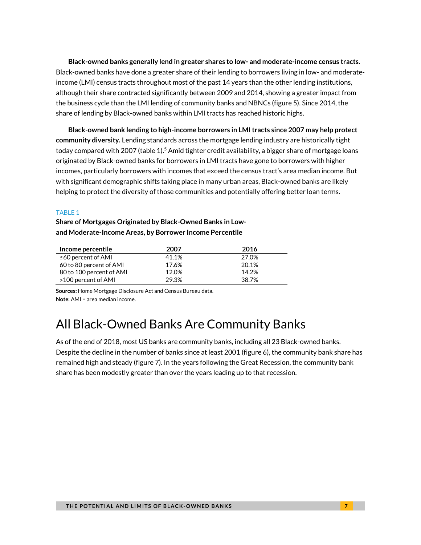**Black-owned banks generally lend in greater shares to low- and moderate-income census tracts.** Black-owned banks have done a greater share of their lending to borrowers living in low- and moderateincome (LMI) census tracts throughout most of the past 14 years than the other lending institutions, although their share contracted significantly between 2009 and 2014, showing a greater impact from the business cycle than the LMI lending of community banks and NBNCs (figure 5). Since 2014, the share of lending by Black-owned banks within LMI tracts has reached historic highs.

**Black-owned bank lending to high-income borrowers in LMI tracts since 2007 may help protect community diversity.** Lending standards across the mortgage lending industry are historically tight today compared with 2007 (table 1).<sup>5</sup> Amid tighter credit availability, a bigger share of mortgage loans originated by Black-owned banks for borrowers in LMI tracts have gone to borrowers with higher incomes, particularly borrowers with incomes that exceed the census tract's area median income. But with significant demographic shifts taking place in many urban areas, Black-owned banks are likely helping to protect the diversity of those communities and potentially offering better loan terms.

#### TABLE 1

**Share of Mortgages Originated by Black-Owned Banks in Lowand Moderate-Income Areas, by Borrower Income Percentile**

| Income percentile        | 2007  | 2016  |
|--------------------------|-------|-------|
| $\leq$ 60 percent of AMI | 41.1% | 27.0% |
| 60 to 80 percent of AMI  | 17.6% | 20.1% |
| 80 to 100 percent of AMI | 12.0% | 14.2% |
| >100 percent of AMI      | 29.3% | 38.7% |

**Sources:** Home Mortgage Disclosure Act and Census Bureau data. **Note:** AMI = area median income.

## All Black-Owned Banks Are Community Banks

As of the end of 2018, most US banks are community banks, including all 23 Black-owned banks. Despite the decline in the number of banks since at least 2001 (figure 6), the community bank share has remained high and steady (figure 7). In the years following the Great Recession, the community bank share has been modestly greater than over the years leading up to that recession.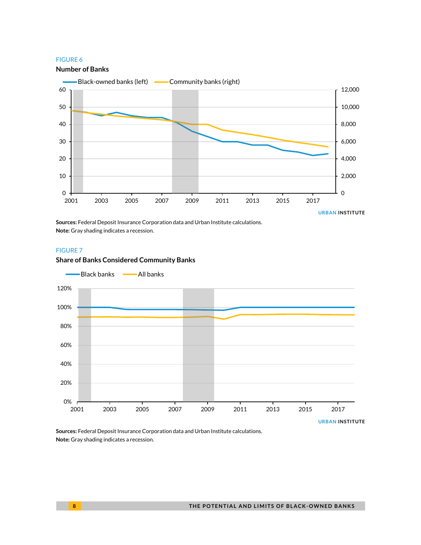

**Sources:** Federal Deposit Insurance Corporation data and Urban Institute calculations. **Note:** Gray shading indicates a recession.

#### FIGURE 7

#### **Share of Banks Considered Community Banks**



**Sources:** Federal Deposit Insurance Corporation data and Urban Institute calculations. **Note:** Gray shading indicates a recession.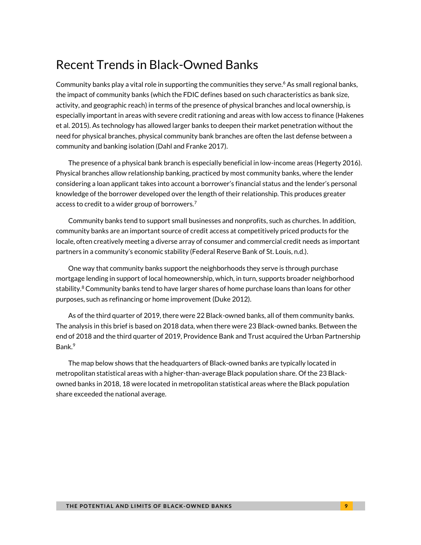# Recent Trends in Black-Owned Banks

Community banks play a vital role in supporting the communities they serve. <sup>6</sup> As small regional banks, the impact of community banks (which the FDIC defines based on such characteristics as bank size, activity, and geographic reach) in terms of the presence of physical branches and local ownership, is especially important in areas with severe credit rationing and areas with low access to finance (Hakenes et al. 2015). As technology has allowed larger banks to deepen their market penetration without the need for physical branches, physical community bank branches are often the last defense between a community and banking isolation (Dahl and Franke 2017).

The presence of a physical bank branch is especially beneficial in low-income areas (Hegerty 2016). Physical branches allow relationship banking, practiced by most community banks, where the lender considering a loan applicant takes into account a borrower's financial status and the lender's personal knowledge of the borrower developed over the length of their relationship. This produces greater access to credit to a wider group of borrowers.<sup>7</sup>

Community banks tend to support small businesses and nonprofits, such as churches. In addition, community banks are an important source of credit access at competitively priced products for the locale, often creatively meeting a diverse array of consumer and commercial credit needs as important partners in a community's economic stability (Federal Reserve Bank of St. Louis, n.d.).

One way that community banks support the neighborhoods they serve is through purchase mortgage lending in support of local homeownership, which, in turn, supports broader neighborhood stability. $^8$  Community banks tend to have larger shares of home purchase loans than loans for other purposes, such as refinancing or home improvement (Duke 2012).

As of the third quarter of 2019, there were 22 Black-owned banks, all of them community banks. The analysis in this brief is based on 2018 data, when there were 23 Black-owned banks. Between the end of 2018 and the third quarter of 2019, Providence Bank and Trust acquired the Urban Partnership Bank.<sup>9</sup>

The map below shows that the headquarters of Black-owned banks are typically located in metropolitan statistical areas with a higher-than-average Black population share. Of the 23 Blackowned banks in 2018, 18 were located in metropolitan statistical areas where the Black population share exceeded the national average.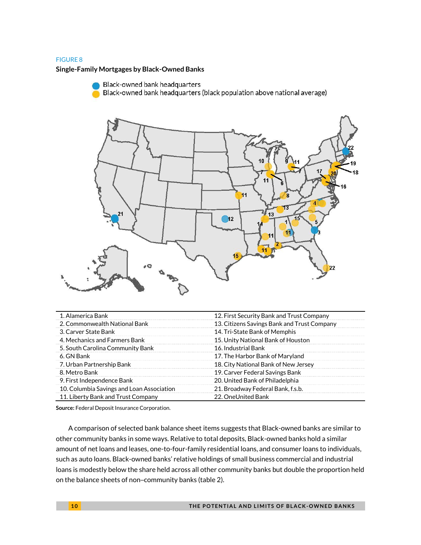**Single-Family Mortgages by Black-Owned Banks**

Black-owned bank headquarters Black-owned bank headquarters (black population above national average)



| 1. Alamerica Bank                         | 12. First Security Bank and Trust Company   |  |
|-------------------------------------------|---------------------------------------------|--|
| 2. Commonwealth National Bank             | 13. Citizens Savings Bank and Trust Company |  |
| 3. Carver State Bank                      | 14. Tri-State Bank of Memphis               |  |
| 4. Mechanics and Farmers Bank             | 15. Unity National Bank of Houston          |  |
| 5. South Carolina Community Bank          | 16. Industrial Bank                         |  |
| 6. GN Bank                                | 17. The Harbor Bank of Maryland             |  |
| 7. Urban Partnership Bank                 | 18. City National Bank of New Jersey        |  |
| 8. Metro Bank                             | 19. Carver Federal Savings Bank             |  |
| 9. First Independence Bank                | 20. United Bank of Philadelphia             |  |
| 10. Columbia Savings and Loan Association | 21. Broadway Federal Bank, f.s.b.           |  |
| 11. Liberty Bank and Trust Company        | 22. OneUnited Bank                          |  |
|                                           |                                             |  |

**Source:** Federal Deposit Insurance Corporation.

A comparison of selected bank balance sheet items suggests that Black-owned banks are similar to other community banks in some ways. Relative to total deposits, Black-owned banks hold a similar amount of net loans and leases, one-to-four-family residential loans, and consumer loans to individuals, such as auto loans. Black-owned banks' relative holdings of small business commercial and industrial loans is modestly below the share held across all other community banks but double the proportion held on the balance sheets of non–community banks (table 2).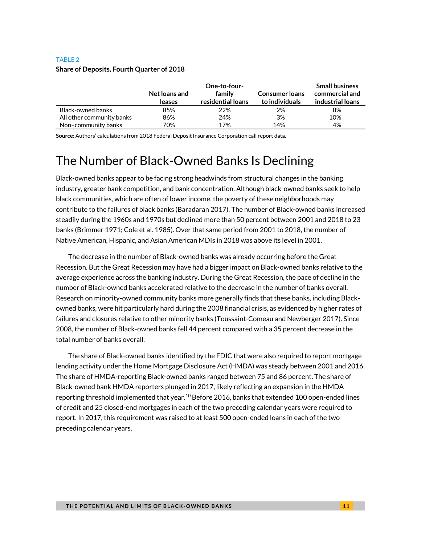|                           | Net loans and<br>leases | One-to-four-<br>family<br>residential loans | <b>Consumer loans</b><br>to individuals | <b>Small business</b><br>commercial and<br>industrial loans |
|---------------------------|-------------------------|---------------------------------------------|-----------------------------------------|-------------------------------------------------------------|
| Black-owned banks         | 85%                     | 22%                                         | 2%                                      | 8%                                                          |
| All other community banks | 86%                     | 24%                                         | 3%                                      | 10%                                                         |
| Non-community banks       | 70%                     | 17%                                         | 14%                                     | 4%                                                          |

### TABLE 2 **Share of Deposits, Fourth Quarter of 2018**

**Source:** Authors' calculations from 2018 Federal Deposit Insurance Corporation call report data.

# The Number of Black-Owned Banks Is Declining

Black-owned banks appear to be facing strong headwinds from structural changes in the banking industry, greater bank competition, and bank concentration. Although black-owned banks seek to help black communities, which are often of lower income, the poverty of these neighborhoods may contribute to the failures of black banks (Baradaran 2017). The number of Black-owned banks increased steadily during the 1960s and 1970s but declined more than 50 percent between 2001 and 2018 to 23 banks (Brimmer 1971; Cole et al. 1985). Over that same period from 2001 to 2018, the number of Native American, Hispanic, and Asian American MDIs in 2018 was above its level in 2001.

The decrease in the number of Black-owned banks was already occurring before the Great Recession. But the Great Recession may have had a bigger impact on Black-owned banks relative to the average experience across the banking industry. During the Great Recession, the pace of decline in the number of Black-owned banks accelerated relative to the decrease in the number of banks overall. Research on minority-owned community banks more generally finds that these banks, including Blackowned banks, were hit particularly hard during the 2008 financial crisis, as evidenced by higher rates of failures and closures relative to other minority banks (Toussaint-Comeau and Newberger 2017). Since 2008, the number of Black-owned banks fell 44 percent compared with a 35 percent decrease in the total number of banks overall.

The share of Black-owned banks identified by the FDIC that were also required to report mortgage lending activity under the Home Mortgage Disclosure Act (HMDA) was steady between 2001 and 2016. The share of HMDA-reporting Black-owned banks ranged between 75 and 86 percent. The share of Black-owned bank HMDA reporters plunged in 2017, likely reflecting an expansion in the HMDA reporting threshold implemented that year. <sup>10</sup> Before 2016, banks that extended 100 open-ended lines of credit and 25 closed-end mortgages in each of the two preceding calendar years were required to report. In 2017, this requirement was raised to at least 500 open-ended loans in each of the two preceding calendar years.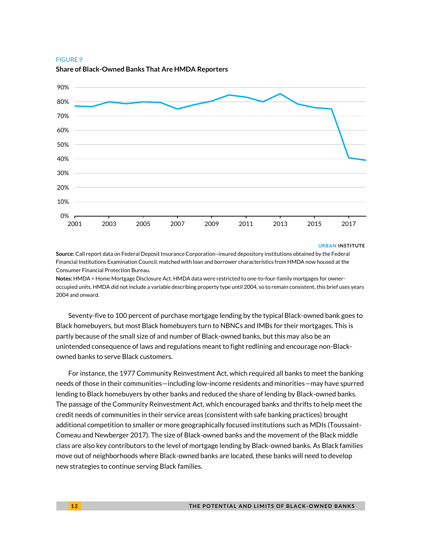

#### **Share of Black-Owned Banks That Are HMDA Reporters**

#### **URBAN INSTITUTE**

**Source:** Call report data on Federal Deposit Insurance Corporation–insured depository institutions obtained by the Federal Financial Institutions Examination Council, matched with loan and borrower characteristics from HMDA now housed at the Consumer Financial Protection Bureau.

**Notes:** HMDA = Home Mortgage Disclosure Act. HMDA data were restricted to one-to-four-family mortgages for owneroccupied units. HMDA did not include a variable describing property type until 2004, so to remain consistent, this brief uses years 2004 and onward.

Seventy-five to 100 percent of purchase mortgage lending by the typical Black-owned bank goes to Black homebuyers, but most Black homebuyers turn to NBNCs and IMBs for their mortgages. This is partly because of the small size of and number of Black-owned banks, but this may also be an unintended consequence of laws and regulations meant to fight redlining and encourage non-Blackowned banks to serve Black customers.

For instance, the 1977 Community Reinvestment Act, which required all banks to meet the banking needs of those in their communities—including low-income residents and minorities—may have spurred lending to Black homebuyers by other banks and reduced the share of lending by Black-owned banks. The passage of the Community Reinvestment Act, which encouraged banks and thrifts to help meet the credit needs of communities in their service areas (consistent with safe banking practices) brought additional competition to smaller or more geographically focused institutions such as MDIs (Toussaint-Comeau and Newberger 2017). The size of Black-owned banks and the movement of the Black middle class are also key contributors to the level of mortgage lending by Black-owned banks. As Black families move out of neighborhoods where Black-owned banks are located, these banks will need to develop new strategies to continue serving Black families.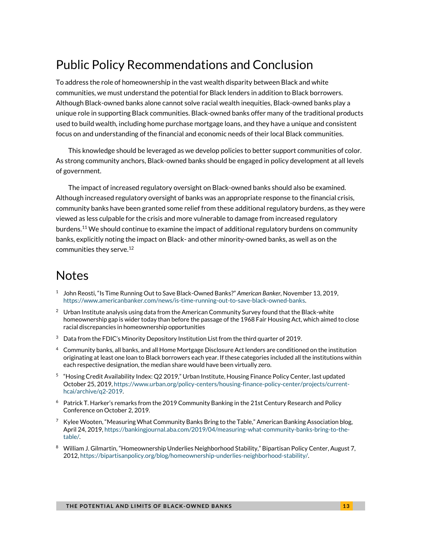# Public Policy Recommendations and Conclusion

To address the role of homeownership in the vast wealth disparity between Black and white communities, we must understand the potential for Black lenders in addition to Black borrowers. Although Black-owned banks alone cannot solve racial wealth inequities, Black-owned banks play a unique role in supporting Black communities. Black-owned banks offer many of the traditional products used to build wealth, including home purchase mortgage loans, and they have a unique and consistent focus on and understanding of the financial and economic needs of their local Black communities.

This knowledge should be leveraged as we develop policies to better support communities of color. As strong community anchors, Black-owned banks should be engaged in policy development at all levels of government.

The impact of increased regulatory oversight on Black-owned banks should also be examined. Although increased regulatory oversight of banks was an appropriate response to the financial crisis, community banks have been granted some relief from these additional regulatory burdens, as they were viewed as less culpable for the crisis and more vulnerable to damage from increased regulatory burdens.<sup>11</sup> We should continue to examine the impact of additional regulatory burdens on community banks, explicitly noting the impact on Black- and other minority-owned banks, as well as on the communities they serve. 12

## Notes

- 1 John Reosti, "Is Time Running Out to Save Black-Owned Banks?" *American Banker,* November 13, 2019, [https://www.americanbanker.com/news/is-time-running-out-to-save-black-owned-banks.](https://www.americanbanker.com/news/is-time-running-out-to-save-black-owned-banks)
- $2$  Urban Institute analysis using data from the American Community Survey found that the Black-white homeownership gap is wider today than before the passage of the 1968 Fair Housing Act, which aimed to close racial discrepancies in homeownership opportunities
- $3$  Data from the FDIC's Minority Depository Institution List from the third quarter of 2019.
- <sup>4</sup> Community banks, all banks, and all Home Mortgage Disclosure Act lenders are conditioned on the institution originating at least one loan to Black borrowers each year. If these categories included all the institutions within each respective designation, the median share would have been virtually zero.
- 5 "Hosing Credit Availability Index: Q2 2019," Urban Institute, Housing Finance Policy Center, last updated October 25, 2019[, https://www.urban.org/policy-centers/housing-finance-policy-center/projects/current](https://www.urban.org/policy-centers/housing-finance-policy-center/projects/current-hcai/archive/q2-2019)[hcai/archive/q2-2019.](https://www.urban.org/policy-centers/housing-finance-policy-center/projects/current-hcai/archive/q2-2019)
- $6$  Patrick T. Harker's remarks from the 2019 Community Banking in the 21st Century Research and Policy Conference on October 2, 2019.
- $7\;$  Kylee Wooten, "Measuring What Community Banks Bring to the Table," American Banking Association blog, April 24, 2019[, https://bankingjournal.aba.com/2019/04/measuring-what-community-banks-bring-to-the](https://bankingjournal.aba.com/2019/04/measuring-what-community-banks-bring-to-the-table/)[table/.](https://bankingjournal.aba.com/2019/04/measuring-what-community-banks-bring-to-the-table/)
- 8 William J. Gilmartin, "Homeownership Underlies Neighborhood Stability," Bipartisan Policy Center, August 7, 2012[, https://bipartisanpolicy.org/blog/homeownership-underlies-neighborhood-stability/.](https://bipartisanpolicy.org/blog/homeownership-underlies-neighborhood-stability/)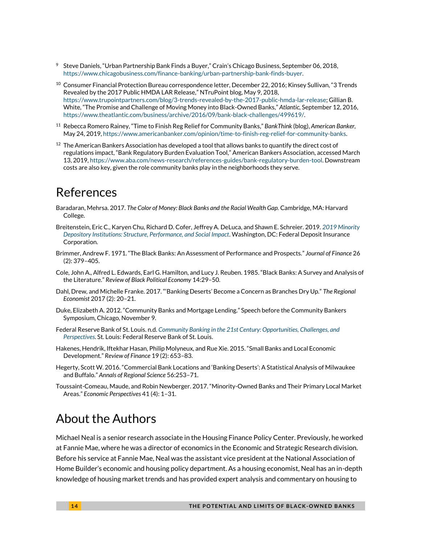- <sup>9</sup> Steve Daniels, "Urban Partnership Bank Finds a Buyer," Crain's Chicago Business, September 06, 2018, [https://www.chicagobusiness.com/finance-banking/urban-partnership-bank-finds-buyer.](https://www.chicagobusiness.com/finance-banking/urban-partnership-bank-finds-buyer)
- $^{10}$  Consumer Financial Protection Bureau correspondence letter, December 22, 2016; Kinsey Sullivan, "3 Trends Revealed by the 2017 Public HMDA LAR Release," NTruPoint blog, May 9, 2018, [https://www.trupointpartners.com/blog/3-trends-revealed-by-the-2017-public-hmda-lar-release;](https://www.trupointpartners.com/blog/3-trends-revealed-by-the-2017-public-hmda-lar-release) Gillian B. White, "The Promise and Challenge of Moving Money into Black-Owned Banks," *Atlantic,* September 12, 2016, [https://www.theatlantic.com/business/archive/2016/09/bank-black-challenges/499619/.](https://www.theatlantic.com/business/archive/2016/09/bank-black-challenges/499619/)
- <sup>11</sup> Rebecca Romero Rainey, "Time to Finish Reg Relief for Community Banks," *BankThink* (blog), *American Banker,* May 24, 2019[, https://www.americanbanker.com/opinion/time-to-finish-reg-relief-for-community-banks.](https://www.americanbanker.com/opinion/time-to-finish-reg-relief-for-community-banks)
- $12$  The American Bankers Association has developed a tool that allows banks to quantify the direct cost of regulations impact, "Bank Regulatory Burden Evaluation Tool," American Bankers Association, accessed March 13, 2019[, https://www.aba.com/news-research/references-guides/bank-regulatory-burden-tool.](https://www.aba.com/news-research/references-guides/bank-regulatory-burden-tool) Downstream costs are also key, given the role community banks play in the neighborhoods they serve.

### References

- Baradaran, Mehrsa. 2017. *The Color of Money: Black Banks and the Racial Wealth Gap.* Cambridge, MA: Harvard College.
- Breitenstein, Eric C., Karyen Chu, Richard D. Cofer, Jeffrey A. DeLuca, and Shawn E. Schreier. 2019. *[2019 Minority](https://www.fdic.gov/regulations/resources/minority/2019-mdi-study/full.pdf)  [Depository Institutions: Structure, Performance, and Social Impact](https://www.fdic.gov/regulations/resources/minority/2019-mdi-study/full.pdf)*. Washington, DC: Federal Deposit Insurance Corporation.
- Brimmer, Andrew F. 1971. "The Black Banks: An Assessment of Performance and Prospects." *Journal of Finance* 26 (2): 379–405.
- Cole, John A., Alfred L. Edwards, Earl G. Hamilton, and Lucy J. Reuben. 1985. "Black Banks: A Survey and Analysis of the Literature." *Review of Black Political Economy* 14:29–50.
- Dahl, Drew, and Michelle Franke. 2017. "'Banking Deserts' Become a Concern as Branches Dry Up." *The Regional Economist* 2017 (2): 20–21.
- Duke, Elizabeth A. 2012. "Community Banks and Mortgage Lending." Speech before the Community Bankers Symposium, Chicago, November 9.
- Federal Reserve Bank of St. Louis. n.d. *[Community Banking in the 21st Century: Opportunities, Challenges, and](https://www.stlouisfed.org/~/media/files/pdfs/banking/cbrc-2013/town-hall.pdf?la=en)  [Perspectives](https://www.stlouisfed.org/~/media/files/pdfs/banking/cbrc-2013/town-hall.pdf?la=en)*. St. Louis: Federal Reserve Bank of St. Louis.
- Hakenes, Hendrik, Iftekhar Hasan, Philip Molyneux, and Rue Xie. 2015. "Small Banks and Local Economic Development." *Review of Finance* 19 (2): 653–83.
- Hegerty, Scott W. 2016. "Commercial Bank Locations and 'Banking Deserts': A Statistical Analysis of Milwaukee and Buffalo." *Annals of Regional Science* 56:253–71.
- Toussaint-Comeau, Maude, and Robin Newberger. 2017. "Minority-Owned Banks and Their Primary Local Market Areas." *Economic Perspectives* 41 (4): 1–31.

### About the Authors

Michael Neal is a senior research associate in the Housing Finance Policy Center. Previously, he worked at Fannie Mae, where he was a director of economics in the Economic and Strategic Research division. Before his service at Fannie Mae, Neal was the assistant vice president at the National Association of Home Builder's economic and housing policy department. As a housing economist, Neal has an in-depth knowledge of housing market trends and has provided expert analysis and commentary on housing to